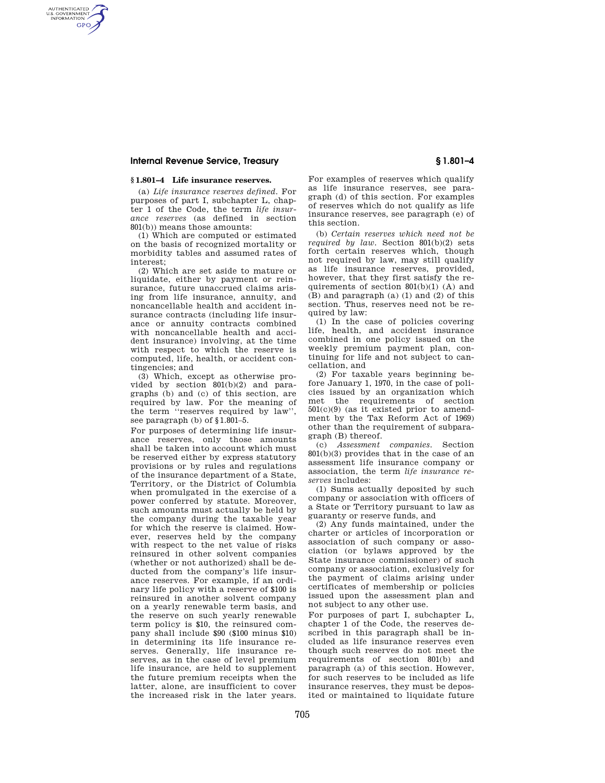## **Internal Revenue Service, Treasury § 1.801–4**

AUTHENTICATED<br>U.S. GOVERNMENT<br>INFORMATION **GPO** 

## **§ 1.801–4 Life insurance reserves.**

(a) *Life insurance reserves defined.* For purposes of part I, subchapter L, chapter 1 of the Code, the term *life insurance reserves* (as defined in section 801(b)) means those amounts:

(1) Which are computed or estimated on the basis of recognized mortality or morbidity tables and assumed rates of interest;

(2) Which are set aside to mature or liquidate, either by payment or reinsurance, future unaccrued claims arising from life insurance, annuity, and noncancellable health and accident insurance contracts (including life insurance or annuity contracts combined with noncancellable health and accident insurance) involving, at the time with respect to which the reserve is computed, life, health, or accident contingencies; and

(3) Which, except as otherwise provided by section 801(b)(2) and paragraphs (b) and (c) of this section, are required by law. For the meaning of the term ''reserves required by law'', see paragraph (b) of §1.801–5.

For purposes of determining life insurance reserves, only those amounts shall be taken into account which must be reserved either by express statutory provisions or by rules and regulations of the insurance department of a State, Territory, or the District of Columbia when promulgated in the exercise of a power conferred by statute. Moreover, such amounts must actually be held by the company during the taxable year for which the reserve is claimed. However, reserves held by the company with respect to the net value of risks reinsured in other solvent companies (whether or not authorized) shall be deducted from the company's life insurance reserves. For example, if an ordinary life policy with a reserve of \$100 is reinsured in another solvent company on a yearly renewable term basis, and the reserve on such yearly renewable term policy is \$10, the reinsured company shall include \$90 (\$100 minus \$10) in determining its life insurance reserves. Generally, life insurance reserves, as in the case of level premium life insurance, are held to supplement the future premium receipts when the latter, alone, are insufficient to cover the increased risk in the later years.

For examples of reserves which qualify as life insurance reserves, see paragraph (d) of this section. For examples of reserves which do not qualify as life insurance reserves, see paragraph (e) of this section.

(b) *Certain reserves which need not be required by law.* Section 801(b)(2) sets forth certain reserves which, though not required by law, may still qualify as life insurance reserves, provided, however, that they first satisfy the requirements of section  $801(b)(1)$  (A) and (B) and paragraph (a) (1) and (2) of this section. Thus, reserves need not be required by law:

(1) In the case of policies covering life, health, and accident insurance combined in one policy issued on the weekly premium payment plan, continuing for life and not subject to cancellation, and

(2) For taxable years beginning before January 1, 1970, in the case of policies issued by an organization which met the requirements of section 501(c)(9) (as it existed prior to amendment by the Tax Reform Act of 1969) other than the requirement of subpara $graph (B)$  thereof.<br>(c) *Assessment* 

(c) *Assessment companies.* Section 801(b)(3) provides that in the case of an assessment life insurance company or association, the term *life insurance reserves* includes:

(1) Sums actually deposited by such company or association with officers of a State or Territory pursuant to law as guaranty or reserve funds, and

(2) Any funds maintained, under the charter or articles of incorporation or association of such company or association (or bylaws approved by the State insurance commissioner) of such company or association, exclusively for the payment of claims arising under certificates of membership or policies issued upon the assessment plan and not subject to any other use.

For purposes of part I, subchapter L, chapter 1 of the Code, the reserves described in this paragraph shall be included as life insurance reserves even though such reserves do not meet the requirements of section 801(b) and paragraph (a) of this section. However, for such reserves to be included as life insurance reserves, they must be deposited or maintained to liquidate future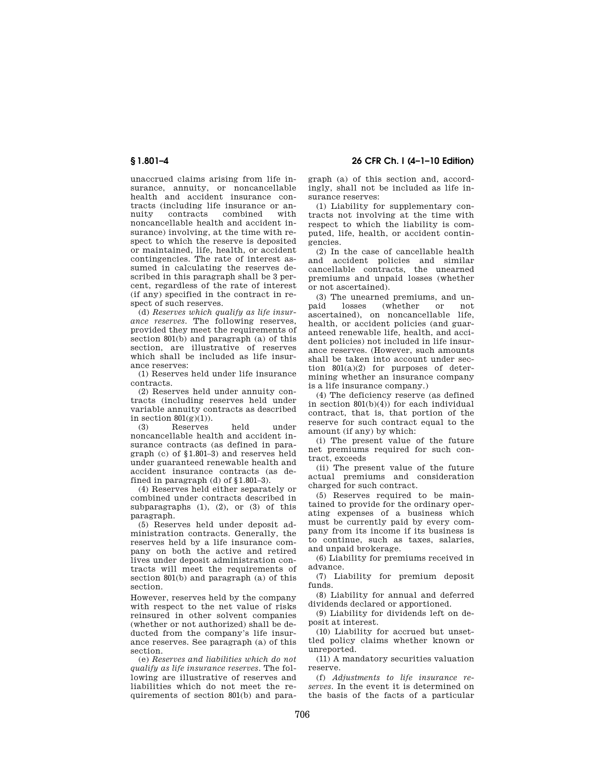unaccrued claims arising from life insurance, annuity, or noncancellable health and accident insurance contracts (including life insurance or annuity contracts combined with noncancellable health and accident insurance) involving, at the time with respect to which the reserve is deposited or maintained, life, health, or accident contingencies. The rate of interest assumed in calculating the reserves described in this paragraph shall be 3 percent, regardless of the rate of interest (if any) specified in the contract in respect of such reserves.

(d) *Reserves which qualify as life insurance reserves.* The following reserves, provided they meet the requirements of section 801(b) and paragraph (a) of this section, are illustrative of reserves which shall be included as life insurance reserves:

(1) Reserves held under life insurance contracts.

(2) Reserves held under annuity contracts (including reserves held under variable annuity contracts as described in section  $801(g)(1)$ .

(3) Reserves held under noncancellable health and accident insurance contracts (as defined in paragraph (c) of §1.801–3) and reserves held under guaranteed renewable health and accident insurance contracts (as defined in paragraph (d) of  $§1.801-3$ ).

(4) Reserves held either separately or combined under contracts described in subparagraphs  $(1)$ ,  $(2)$ , or  $(3)$  of this paragraph.

(5) Reserves held under deposit administration contracts. Generally, the reserves held by a life insurance company on both the active and retired lives under deposit administration contracts will meet the requirements of section 801(b) and paragraph (a) of this section.

However, reserves held by the company with respect to the net value of risks reinsured in other solvent companies (whether or not authorized) shall be deducted from the company's life insurance reserves. See paragraph (a) of this section.

(e) *Reserves and liabilities which do not qualify as life insurance reserves.* The following are illustrative of reserves and liabilities which do not meet the requirements of section 801(b) and para-

**§ 1.801–4 26 CFR Ch. I (4–1–10 Edition)** 

graph (a) of this section and, accordingly, shall not be included as life insurance reserves:

(1) Liability for supplementary contracts not involving at the time with respect to which the liability is computed, life, health, or accident contingencies.

(2) In the case of cancellable health and accident policies and similar cancellable contracts, the unearned premiums and unpaid losses (whether or not ascertained).

(3) The unearned premiums, and un-<br>paid losses (whether or not (whether or not ascertained), on noncancellable life, health, or accident policies (and guaranteed renewable life, health, and accident policies) not included in life insurance reserves. (However, such amounts shall be taken into account under section  $801(a)(2)$  for purposes of determining whether an insurance company is a life insurance company.)

(4) The deficiency reserve (as defined in section 801(b)(4)) for each individual contract, that is, that portion of the reserve for such contract equal to the amount (if any) by which:

(i) The present value of the future net premiums required for such contract, exceeds

(ii) The present value of the future actual premiums and consideration charged for such contract.

(5) Reserves required to be maintained to provide for the ordinary operating expenses of a business which must be currently paid by every company from its income if its business is to continue, such as taxes, salaries, and unpaid brokerage.

(6) Liability for premiums received in advance.

(7) Liability for premium deposit funds.

(8) Liability for annual and deferred dividends declared or apportioned.

(9) Liability for dividends left on deposit at interest.

(10) Liability for accrued but unsettled policy claims whether known or unreported.

(11) A mandatory securities valuation reserve.

(f) *Adjustments to life insurance reserves.* In the event it is determined on the basis of the facts of a particular